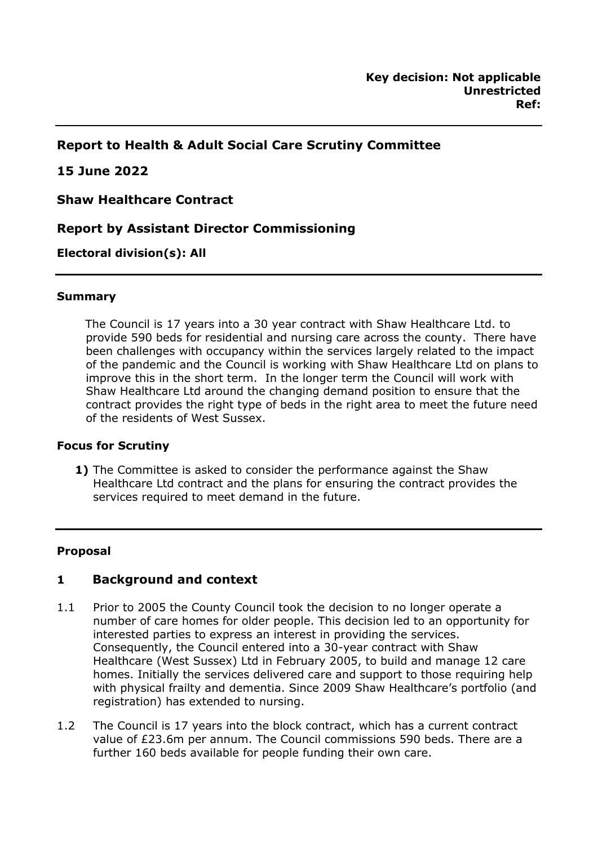## **Report to Health & Adult Social Care Scrutiny Committee**

### **15 June 2022**

**Shaw Healthcare Contract** 

## **Report by Assistant Director Commissioning**

### **Electoral division(s): All**

#### **Summary**

The Council is 17 years into a 30 year contract with Shaw Healthcare Ltd. to provide 590 beds for residential and nursing care across the county. There have been challenges with occupancy within the services largely related to the impact of the pandemic and the Council is working with Shaw Healthcare Ltd on plans to improve this in the short term. In the longer term the Council will work with Shaw Healthcare Ltd around the changing demand position to ensure that the contract provides the right type of beds in the right area to meet the future need of the residents of West Sussex.

#### **Focus for Scrutiny**

**1)** The Committee is asked to consider the performance against the Shaw Healthcare Ltd contract and the plans for ensuring the contract provides the services required to meet demand in the future.

#### **Proposal**

### **1 Background and context**

- 1.1 Prior to 2005 the County Council took the decision to no longer operate a number of care homes for older people. This decision led to an opportunity for interested parties to express an interest in providing the services. Consequently, the Council entered into a 30-year contract with Shaw Healthcare (West Sussex) Ltd in February 2005, to build and manage 12 care homes. Initially the services delivered care and support to those requiring help with physical frailty and dementia. Since 2009 Shaw Healthcare's portfolio (and registration) has extended to nursing.
- 1.2 The Council is 17 years into the block contract, which has a current contract value of £23.6m per annum. The Council commissions 590 beds. There are a further 160 beds available for people funding their own care.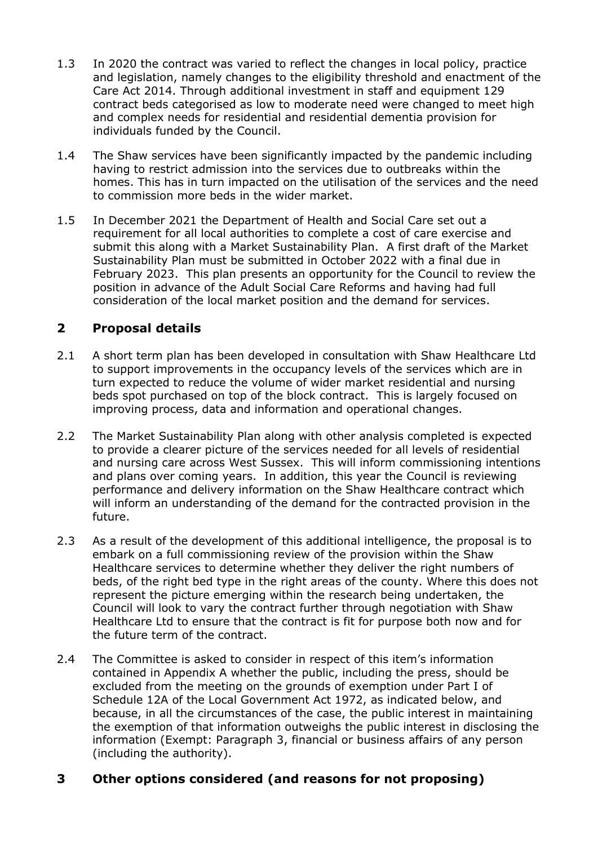- 1.3 In 2020 the contract was varied to reflect the changes in local policy, practice and legislation, namely changes to the eligibility threshold and enactment of the Care Act 2014. Through additional investment in staff and equipment 129 contract beds categorised as low to moderate need were changed to meet high and complex needs for residential and residential dementia provision for individuals funded by the Council.
- 1.4 The Shaw services have been significantly impacted by the pandemic including having to restrict admission into the services due to outbreaks within the homes. This has in turn impacted on the utilisation of the services and the need to commission more beds in the wider market.
- 1.5 In December 2021 the Department of Health and Social Care set out a requirement for all local authorities to complete a cost of care exercise and submit this along with a Market Sustainability Plan. A first draft of the Market Sustainability Plan must be submitted in October 2022 with a final due in February 2023. This plan presents an opportunity for the Council to review the position in advance of the Adult Social Care Reforms and having had full consideration of the local market position and the demand for services.

# **2 Proposal details**

- 2.1 A short term plan has been developed in consultation with Shaw Healthcare Ltd to support improvements in the occupancy levels of the services which are in turn expected to reduce the volume of wider market residential and nursing beds spot purchased on top of the block contract. This is largely focused on improving process, data and information and operational changes.
- 2.2 The Market Sustainability Plan along with other analysis completed is expected to provide a clearer picture of the services needed for all levels of residential and nursing care across West Sussex. This will inform commissioning intentions and plans over coming years. In addition, this year the Council is reviewing performance and delivery information on the Shaw Healthcare contract which will inform an understanding of the demand for the contracted provision in the future.
- 2.3 As a result of the development of this additional intelligence, the proposal is to embark on a full commissioning review of the provision within the Shaw Healthcare services to determine whether they deliver the right numbers of beds, of the right bed type in the right areas of the county. Where this does not represent the picture emerging within the research being undertaken, the Council will look to vary the contract further through negotiation with Shaw Healthcare Ltd to ensure that the contract is fit for purpose both now and for the future term of the contract.
- 2.4 The Committee is asked to consider in respect of this item's information contained in Appendix A whether the public, including the press, should be excluded from the meeting on the grounds of exemption under Part I of Schedule 12A of the Local Government Act 1972, as indicated below, and because, in all the circumstances of the case, the public interest in maintaining the exemption of that information outweighs the public interest in disclosing the information (Exempt: Paragraph 3, financial or business affairs of any person (including the authority).

# **3 Other options considered (and reasons for not proposing)**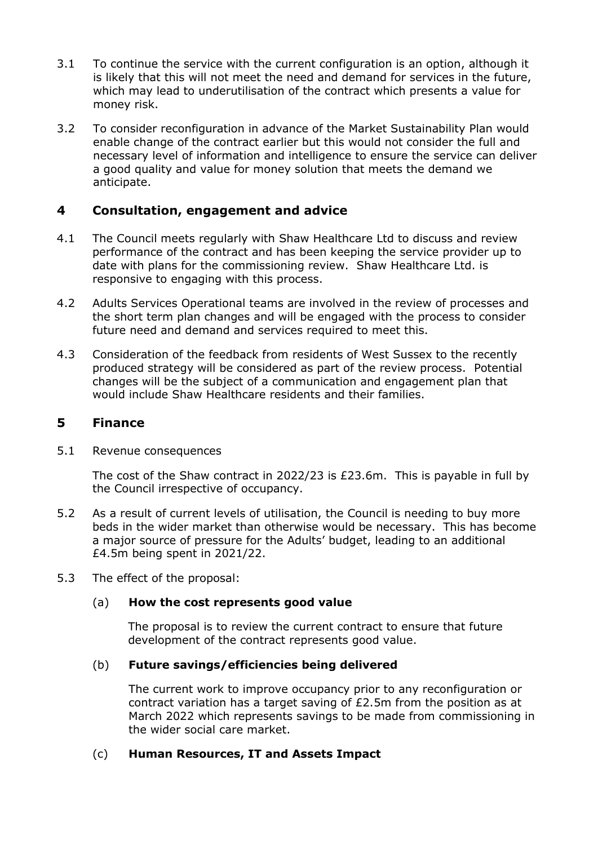- 3.1 To continue the service with the current configuration is an option, although it is likely that this will not meet the need and demand for services in the future, which may lead to underutilisation of the contract which presents a value for money risk.
- 3.2 To consider reconfiguration in advance of the Market Sustainability Plan would enable change of the contract earlier but this would not consider the full and necessary level of information and intelligence to ensure the service can deliver a good quality and value for money solution that meets the demand we anticipate.

## **4 Consultation, engagement and advice**

- 4.1 The Council meets regularly with Shaw Healthcare Ltd to discuss and review performance of the contract and has been keeping the service provider up to date with plans for the commissioning review. Shaw Healthcare Ltd. is responsive to engaging with this process.
- 4.2 Adults Services Operational teams are involved in the review of processes and the short term plan changes and will be engaged with the process to consider future need and demand and services required to meet this.
- 4.3 Consideration of the feedback from residents of West Sussex to the recently produced strategy will be considered as part of the review process. Potential changes will be the subject of a communication and engagement plan that would include Shaw Healthcare residents and their families.

### **5 Finance**

5.1 Revenue consequences

The cost of the Shaw contract in 2022/23 is £23.6m. This is payable in full by the Council irrespective of occupancy.

- 5.2 As a result of current levels of utilisation, the Council is needing to buy more beds in the wider market than otherwise would be necessary. This has become a major source of pressure for the Adults' budget, leading to an additional £4.5m being spent in 2021/22.
- 5.3 The effect of the proposal:

### (a) **How the cost represents good value**

The proposal is to review the current contract to ensure that future development of the contract represents good value.

### (b) **Future savings/efficiencies being delivered**

The current work to improve occupancy prior to any reconfiguration or contract variation has a target saving of £2.5m from the position as at March 2022 which represents savings to be made from commissioning in the wider social care market.

### (c) **Human Resources, IT and Assets Impact**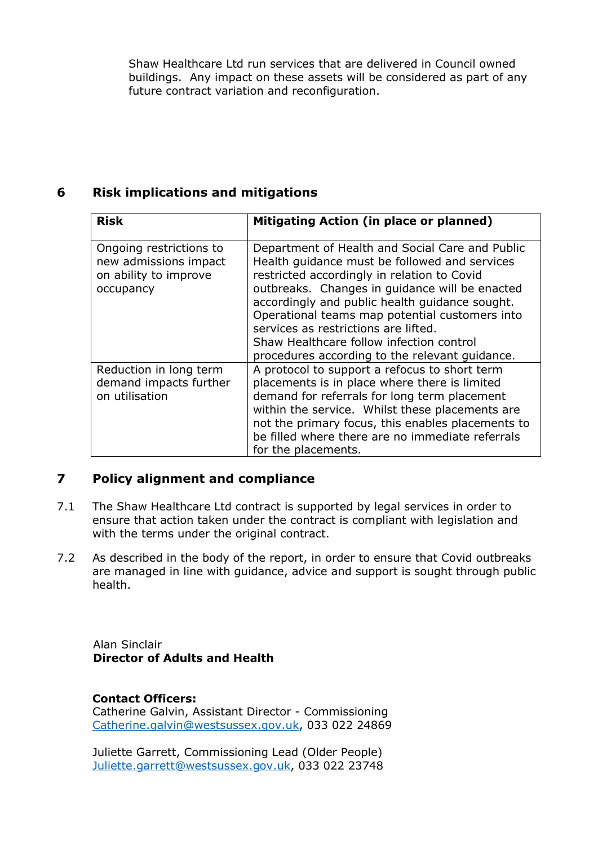Shaw Healthcare Ltd run services that are delivered in Council owned buildings. Any impact on these assets will be considered as part of any future contract variation and reconfiguration.

## **6 Risk implications and mitigations**

| <b>Risk</b>                                                                            | Mitigating Action (in place or planned)                                                                                                                                                                                                                                                                                                                                                                                                     |
|----------------------------------------------------------------------------------------|---------------------------------------------------------------------------------------------------------------------------------------------------------------------------------------------------------------------------------------------------------------------------------------------------------------------------------------------------------------------------------------------------------------------------------------------|
| Ongoing restrictions to<br>new admissions impact<br>on ability to improve<br>occupancy | Department of Health and Social Care and Public<br>Health quidance must be followed and services<br>restricted accordingly in relation to Covid<br>outbreaks. Changes in guidance will be enacted<br>accordingly and public health guidance sought.<br>Operational teams map potential customers into<br>services as restrictions are lifted.<br>Shaw Healthcare follow infection control<br>procedures according to the relevant guidance. |
| Reduction in long term<br>demand impacts further<br>on utilisation                     | A protocol to support a refocus to short term<br>placements is in place where there is limited<br>demand for referrals for long term placement<br>within the service. Whilst these placements are<br>not the primary focus, this enables placements to<br>be filled where there are no immediate referrals<br>for the placements.                                                                                                           |

# **7 Policy alignment and compliance**

- 7.1 The Shaw Healthcare Ltd contract is supported by legal services in order to ensure that action taken under the contract is compliant with legislation and with the terms under the original contract.
- 7.2 As described in the body of the report, in order to ensure that Covid outbreaks are managed in line with guidance, advice and support is sought through public health.

Alan Sinclair **Director of Adults and Health** 

### **Contact Officers:**

Catherine Galvin, Assistant Director - Commissioning [Catherine.galvin@westsussex.gov.uk,](mailto:Catherine.galvin@westsussex.gov.uk) 033 022 24869

Juliette Garrett, Commissioning Lead (Older People) [Juliette.garrett@westsussex.gov.uk,](mailto:Juliette.garrett@westsussex.gov.uk) 033 022 23748